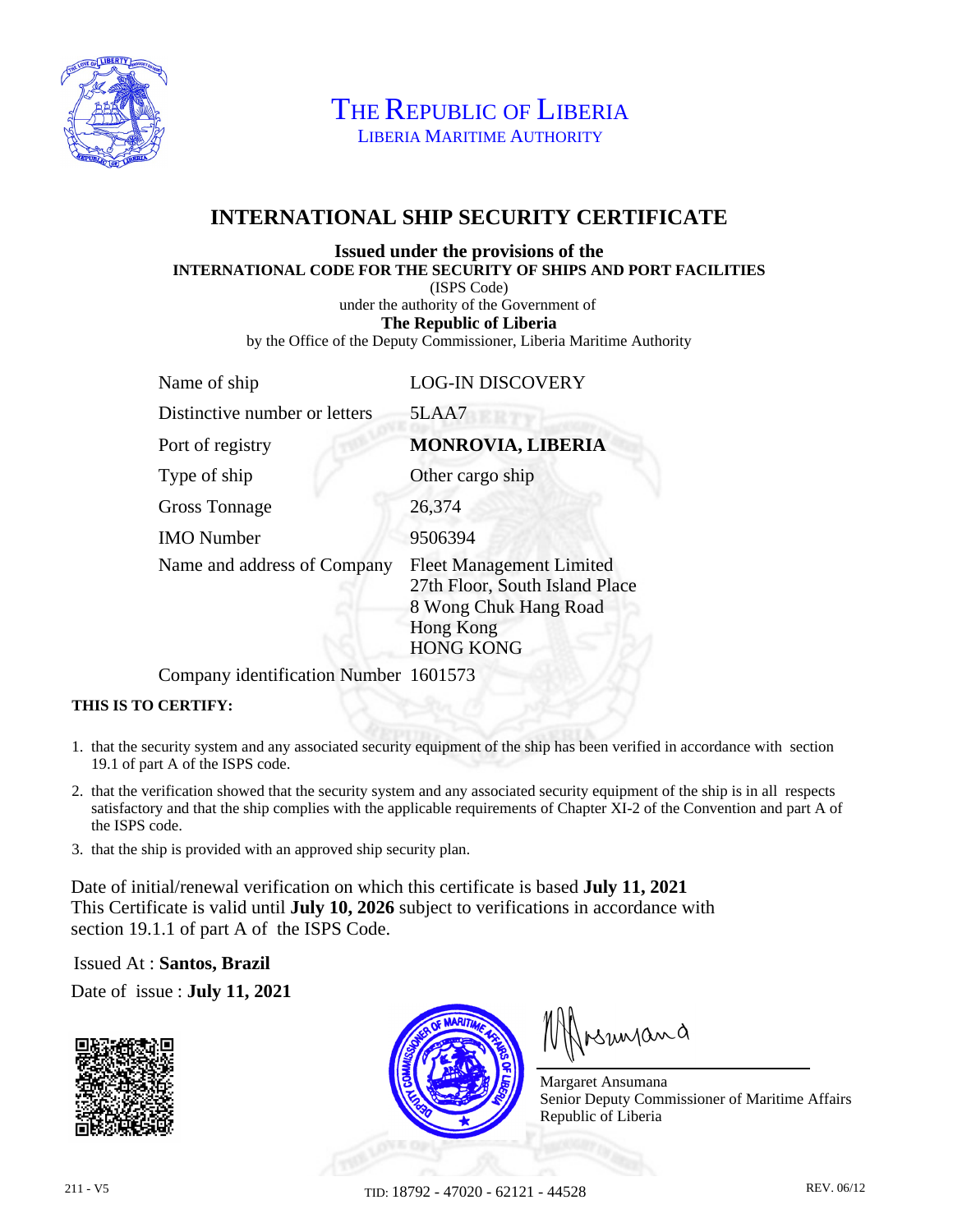

THE REPUBLIC OF LIBERIA LIBERIA MARITIME AUTHORITY

## **INTERNATIONAL SHIP SECURITY CERTIFICATE**

## **Issued under the provisions of the INTERNATIONAL CODE FOR THE SECURITY OF SHIPS AND PORT FACILITIES**

(ISPS Code)

under the authority of the Government of

**The Republic of Liberia**

by the Office of the Deputy Commissioner, Liberia Maritime Authority

| Name of ship                  | <b>LOG-IN DISCOVERY</b>                                                                                                     |
|-------------------------------|-----------------------------------------------------------------------------------------------------------------------------|
| Distinctive number or letters | 5LAA7                                                                                                                       |
| Port of registry              | <b>MONROVIA, LIBERIA</b>                                                                                                    |
| Type of ship                  | Other cargo ship                                                                                                            |
| <b>Gross Tonnage</b>          | 26,374                                                                                                                      |
| <b>IMO</b> Number             | 9506394                                                                                                                     |
| Name and address of Company   | <b>Fleet Management Limited</b><br>27th Floor, South Island Place<br>8 Wong Chuk Hang Road<br>Hong Kong<br><b>HONG KONG</b> |

Company identification Number 1601573

## **THIS IS TO CERTIFY:**

- 1. that the security system and any associated security equipment of the ship has been verified in accordance with section 19.1 of part A of the ISPS code.
- 2. that the verification showed that the security system and any associated security equipment of the ship is in all respects satisfactory and that the ship complies with the applicable requirements of Chapter XI-2 of the Convention and part A of the ISPS code.
- 3. that the ship is provided with an approved ship security plan.

Date of initial/renewal verification on which this certificate is based **July 11, 2021** This Certificate is valid until **July 10, 2026** subject to verifications in accordance with section 19.1.1 of part A of the ISPS Code.

Issued At : **Santos, Brazil**

Date of issue : **July 11, 2021**





Insunana

Margaret Ansumana Senior Deputy Commissioner of Maritime Affairs Republic of Liberia